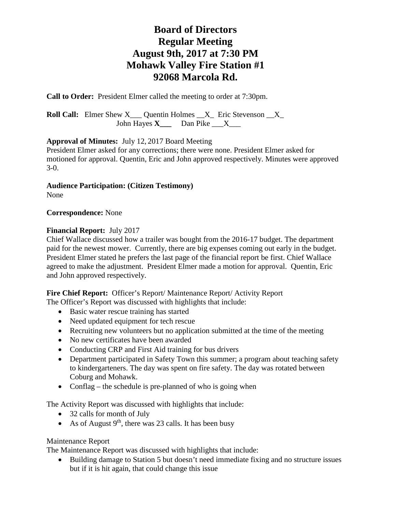**Call to Order:** President Elmer called the meeting to order at 7:30pm.

**Roll Call:** Elmer Shew X Quentin Holmes X Eric Stevenson X John Hayes **X** Dan Pike X

### **Approval of Minutes:** July 12, 2017 Board Meeting

President Elmer asked for any corrections; there were none. President Elmer asked for motioned for approval. Quentin, Eric and John approved respectively. Minutes were approved 3-0.

**Audience Participation: (Citizen Testimony)**

None

**Correspondence:** None

#### **Financial Report:** July 2017

Chief Wallace discussed how a trailer was bought from the 2016-17 budget. The department paid for the newest mower. Currently, there are big expenses coming out early in the budget. President Elmer stated he prefers the last page of the financial report be first. Chief Wallace agreed to make the adjustment. President Elmer made a motion for approval. Quentin, Eric and John approved respectively.

#### Fire Chief Report: Officer's Report/ Maintenance Report/ Activity Report

The Officer's Report was discussed with highlights that include:

- Basic water rescue training has started
- Need updated equipment for tech rescue
- Recruiting new volunteers but no application submitted at the time of the meeting
- No new certificates have been awarded
- Conducting CRP and First Aid training for bus drivers
- Department participated in Safety Town this summer; a program about teaching safety to kindergarteners. The day was spent on fire safety. The day was rotated between Coburg and Mohawk.
- Conflag the schedule is pre-planned of who is going when

The Activity Report was discussed with highlights that include:

- 32 calls for month of July
- As of August  $9<sup>th</sup>$ , there was 23 calls. It has been busy

#### Maintenance Report

The Maintenance Report was discussed with highlights that include:

• Building damage to Station 5 but doesn't need immediate fixing and no structure issues but if it is hit again, that could change this issue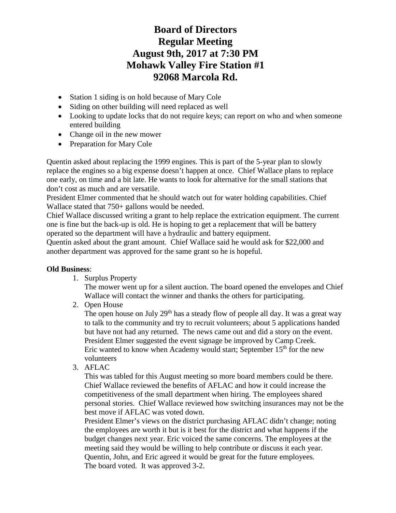- Station 1 siding is on hold because of Mary Cole
- Siding on other building will need replaced as well
- Looking to update locks that do not require keys; can report on who and when someone entered building
- Change oil in the new mower
- Preparation for Mary Cole

Quentin asked about replacing the 1999 engines. This is part of the 5-year plan to slowly replace the engines so a big expense doesn't happen at once. Chief Wallace plans to replace one early, on time and a bit late. He wants to look for alternative for the small stations that don't cost as much and are versatile.

President Elmer commented that he should watch out for water holding capabilities. Chief Wallace stated that 750+ gallons would be needed.

Chief Wallace discussed writing a grant to help replace the extrication equipment. The current one is fine but the back-up is old. He is hoping to get a replacement that will be battery operated so the department will have a hydraulic and battery equipment.

Quentin asked about the grant amount. Chief Wallace said he would ask for \$22,000 and another department was approved for the same grant so he is hopeful.

#### **Old Business**:

1. Surplus Property

The mower went up for a silent auction. The board opened the envelopes and Chief Wallace will contact the winner and thanks the others for participating.

2. Open House

The open house on July  $29<sup>th</sup>$  has a steady flow of people all day. It was a great way to talk to the community and try to recruit volunteers; about 5 applications handed but have not had any returned. The news came out and did a story on the event. President Elmer suggested the event signage be improved by Camp Creek. Eric wanted to know when Academy would start; September  $15<sup>th</sup>$  for the new volunteers

3. AFLAC

This was tabled for this August meeting so more board members could be there. Chief Wallace reviewed the benefits of AFLAC and how it could increase the competitiveness of the small department when hiring. The employees shared personal stories. Chief Wallace reviewed how switching insurances may not be the best move if AFLAC was voted down.

President Elmer's views on the district purchasing AFLAC didn't change; noting the employees are worth it but is it best for the district and what happens if the budget changes next year. Eric voiced the same concerns. The employees at the meeting said they would be willing to help contribute or discuss it each year. Quentin, John, and Eric agreed it would be great for the future employees. The board voted. It was approved 3-2.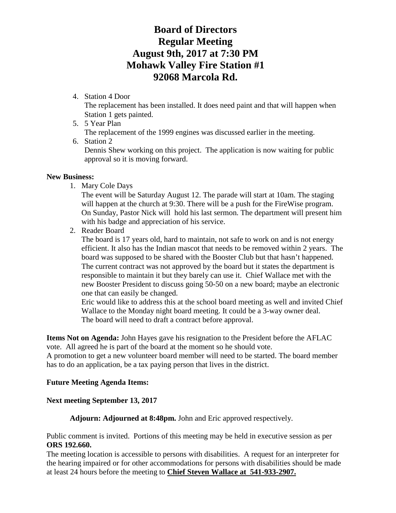4. Station 4 Door

The replacement has been installed. It does need paint and that will happen when Station 1 gets painted.

5. 5 Year Plan

The replacement of the 1999 engines was discussed earlier in the meeting.

6. Station 2

Dennis Shew working on this project. The application is now waiting for public approval so it is moving forward.

#### **New Business:**

1. Mary Cole Days

The event will be Saturday August 12. The parade will start at 10am. The staging will happen at the church at 9:30. There will be a push for the FireWise program. On Sunday, Pastor Nick will hold his last sermon. The department will present him with his badge and appreciation of his service.

2. Reader Board

The board is 17 years old, hard to maintain, not safe to work on and is not energy efficient. It also has the Indian mascot that needs to be removed within 2 years. The board was supposed to be shared with the Booster Club but that hasn't happened. The current contract was not approved by the board but it states the department is responsible to maintain it but they barely can use it. Chief Wallace met with the new Booster President to discuss going 50-50 on a new board; maybe an electronic one that can easily be changed.

Eric would like to address this at the school board meeting as well and invited Chief Wallace to the Monday night board meeting. It could be a 3-way owner deal. The board will need to draft a contract before approval.

**Items Not on Agenda:** John Hayes gave his resignation to the President before the AFLAC vote. All agreed he is part of the board at the moment so he should vote.

A promotion to get a new volunteer board member will need to be started. The board member has to do an application, be a tax paying person that lives in the district.

#### **Future Meeting Agenda Items:**

#### **Next meeting September 13, 2017**

**Adjourn: Adjourned at 8:48pm.** John and Eric approved respectively.

Public comment is invited. Portions of this meeting may be held in executive session as per **ORS 192.660.**

The meeting location is accessible to persons with disabilities. A request for an interpreter for the hearing impaired or for other accommodations for persons with disabilities should be made at least 24 hours before the meeting to **Chief Steven Wallace at 541-933-2907.**